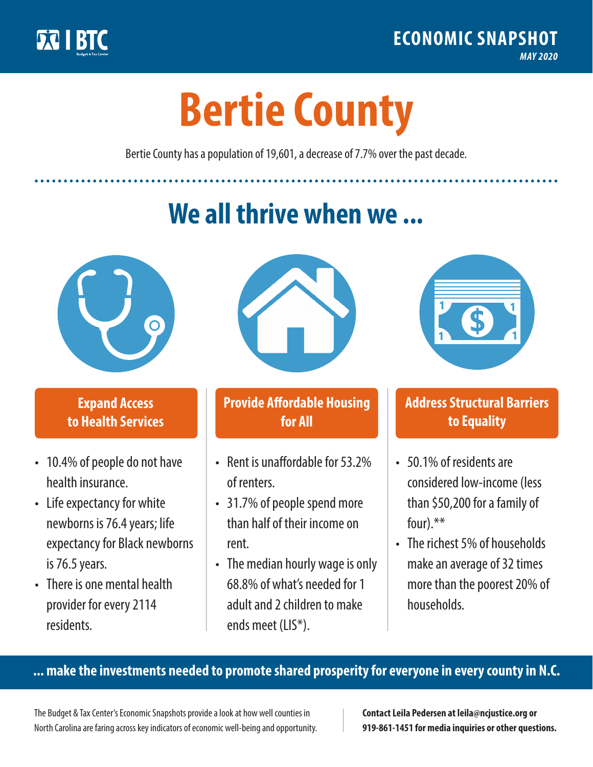

**1**

# **Bertie County**

Bertie County has a population of 19,601, a decrease of 7.7% over the past decade.

# **We all thrive when we ...**



**\$ <sup>1</sup>**

**\$ <sup>1</sup>**

## **Expand Access to Health Services**

- 10.4% of people do not have health insurance.
- Life expectancy for white newborns is 76.4years; life expectancy for Black newborns is 76.5 years.
- There is one mental health provider for every 2114 residents.



## **Provide Affordable Housing for All**

- Rent is unaffordable for 53 2% of renters.
- 31.7% of people spend more than half of their income on rent.
- The median hourly wage is only 68.8% of what's needed for 1 adult and 2 children to make ends meet (LIS\*).



## **Address Structural Barriers to Equality**

- 50.1% of residents are considered low-income (less than \$50,200 for a family of four).\*\*
- The richest 5% of households make an average of 32 times more than the poorest 20% of households.

#### **... make the investments needed to promote shared prosperity for everyone in every county in N.C.**

The Budget & Tax Center's Economic Snapshots provide a look at how well counties in North Carolina are faring across key indicators of economic well-being and opportunity.